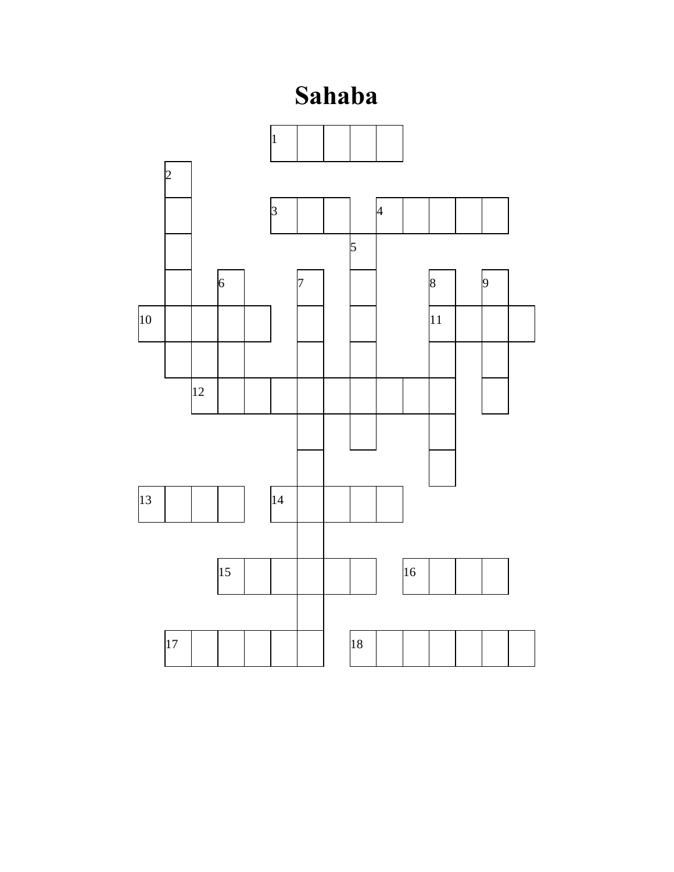## **Sahaba**

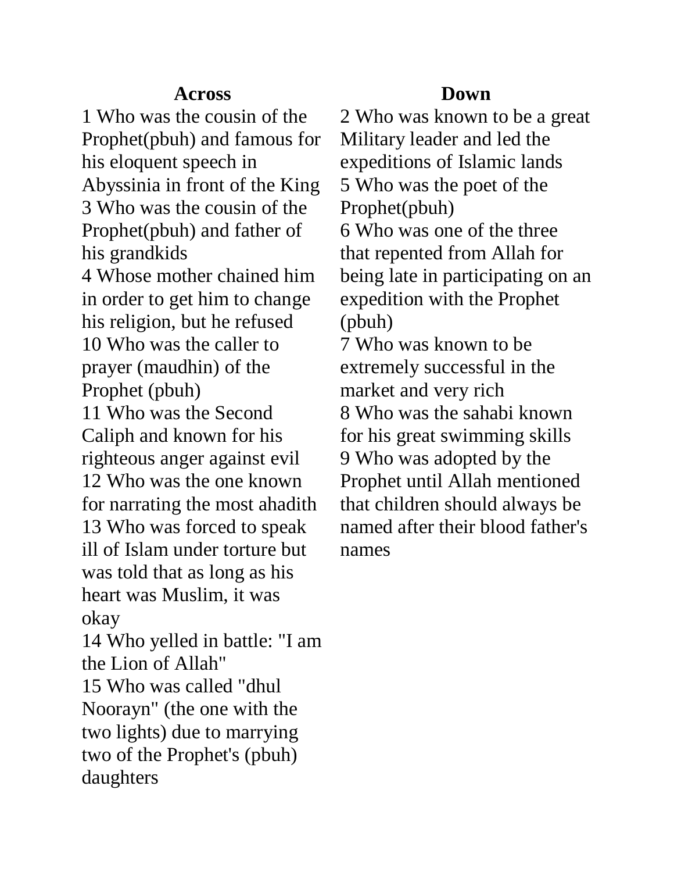## **Across**

1 Who was the cousin of the Prophet(pbuh) and famous for his eloquent speech in Abyssinia in front of the King 3 Who was the cousin of the Prophet(pbuh) and father of his grandkids

4 Whose mother chained him in order to get him to change his religion, but he refused 10 Who was the caller to prayer (maudhin) of the Prophet (pbuh)

11 Who was the Second Caliph and known for his righteous anger against evil 12 Who was the one known for narrating the most ahadith 13 Who was forced to speak ill of Islam under torture but was told that as long as his heart was Muslim, it was

okay 14 Who yelled in battle: "I am the Lion of Allah"

15 Who was called "dhul Noorayn" (the one with the two lights) due to marrying two of the Prophet's (pbuh) daughters

## **Down**

2 Who was known to be a great Military leader and led the expeditions of Islamic lands 5 Who was the poet of the Prophet(pbuh)

6 Who was one of the three that repented from Allah for being late in participating on an expedition with the Prophet (pbuh)

7 Who was known to be extremely successful in the market and very rich 8 Who was the sahabi known for his great swimming skills 9 Who was adopted by the Prophet until Allah mentioned that children should always be named after their blood father's names